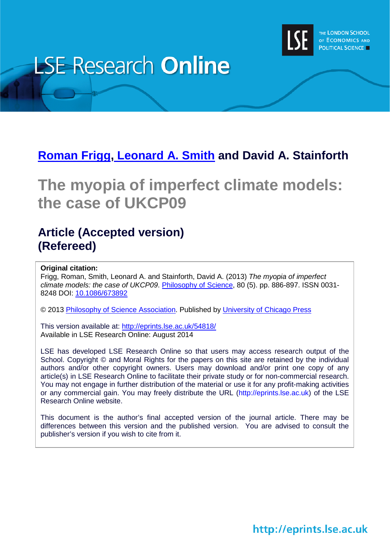

# **LSE Research Online**

## **[Roman Frigg,](http://www2.lse.ac.uk/researchAndExpertise/Experts/profile.aspx?KeyValue=r.p.frigg@lse.ac.uk) [Leonard A. Smith](http://www2.lse.ac.uk/researchAndExpertise/Experts/profile.aspx?KeyValue=l.smith@lse.ac.uk) and David A. Stainforth**

# **The myopia of imperfect climate models: the case of UKCP09**

### **Article (Accepted version) (Refereed)**

#### **Original citation:**

Frigg, Roman, Smith, Leonard A. and Stainforth, David A. (2013) *The myopia of imperfect climate models: the case of UKCP09*. [Philosophy of Science,](http://www.press.uchicago.edu/ucp/journals/journal/phos.html) 80 (5). pp. 886-897. ISSN 0031- 8248 DOI: [10.1086/673892](http://dx.doi.org/10.1086/673892)

© 2013 [Philosophy of Science Association.](http://www.philsci.org/) Published by [University of Chicago Press](http://www.press.uchicago.edu/)

This version available at:<http://eprints.lse.ac.uk/54818/> Available in LSE Research Online: August 2014

LSE has developed LSE Research Online so that users may access research output of the School. Copyright © and Moral Rights for the papers on this site are retained by the individual authors and/or other copyright owners. Users may download and/or print one copy of any article(s) in LSE Research Online to facilitate their private study or for non-commercial research. You may not engage in further distribution of the material or use it for any profit-making activities or any commercial gain. You may freely distribute the URL (http://eprints.lse.ac.uk) of the LSE Research Online website.

This document is the author's final accepted version of the journal article. There may be differences between this version and the published version. You are advised to consult the publisher's version if you wish to cite from it.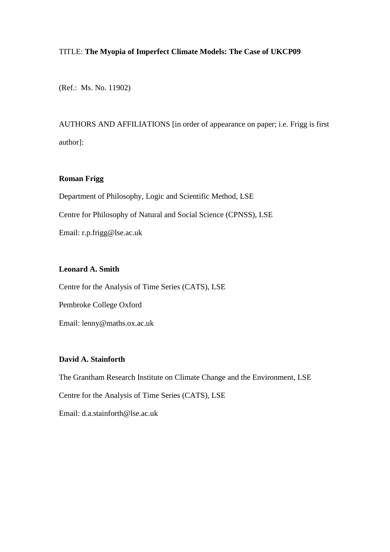#### TITLE: **The Myopia of Imperfect Climate Models: The Case of UKCP09**

(Ref.: Ms. No. 11902)

AUTHORS AND AFFILIATIONS [in order of appearance on paper; i.e. Frigg is first author]:

#### **Roman Frigg**

Department of Philosophy, Logic and Scientific Method, LSE Centre for Philosophy of Natural and Social Science (CPNSS), LSE Email: r.p.frigg@lse.ac.uk

#### **Leonard A. Smith**

Centre for the Analysis of Time Series (CATS), LSE Pembroke College Oxford Email: lenny@maths.ox.ac.uk

#### <span id="page-1-0"></span>**David A. Stainforth**

The Grantham Research Institute on Climate Change and the Environment, LSE Centre for the Analysis of Time Series (CATS), LSE Email: d.a.stainforth@lse.ac.uk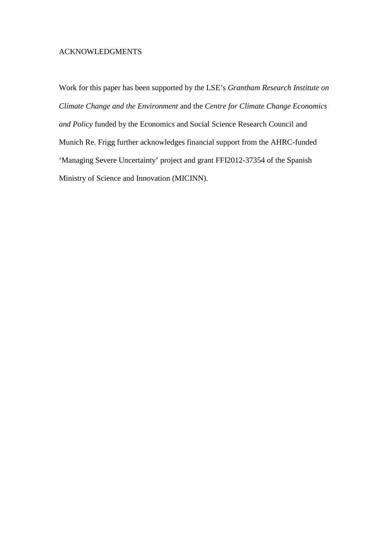#### ACKNOWLEDGMENTS

Work for this paper has been supported by the LSE's *Grantham Research Institute on Climate Change and the Environment* and the *Centre for Climate Change Economics and Policy* funded by the Economics and Social Science Research Council and Munich Re. Frigg further acknowledges financial support from the AHRC-funded 'Managing Severe Uncertainty' project and grant FFI2012-37354 of the Spanish Ministry of Science and Innovation (MICINN).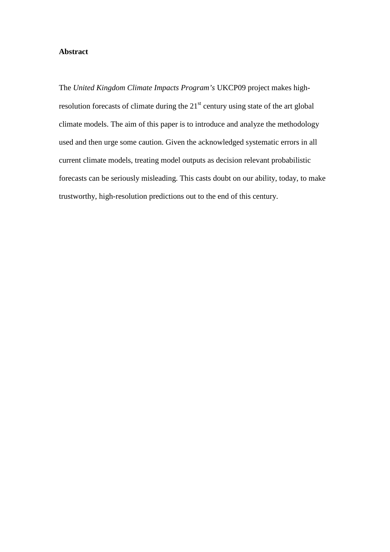#### **Abstract**

The *United Kingdom Climate Impacts Program's* UKCP09 project makes highresolution forecasts of climate during the  $21<sup>st</sup>$  century using state of the art global climate models. The aim of this paper is to introduce and analyze the methodology used and then urge some caution. Given the acknowledged systematic errors in all current climate models, treating model outputs as decision relevant probabilistic forecasts can be seriously misleading. This casts doubt on our ability, today, to make trustworthy, high-resolution predictions out to the end of this century.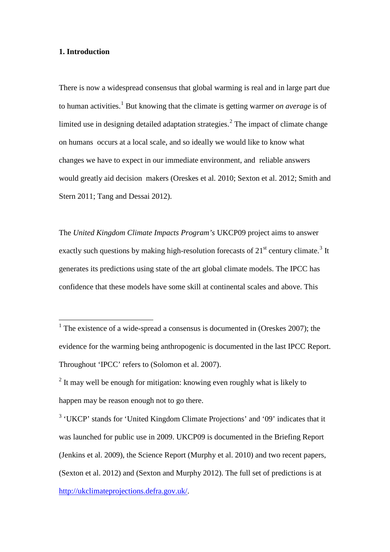#### **1. Introduction**

There is now a widespread consensus that global warming is real and in large part due to human activities.<sup>[1](#page-1-0)</sup> But knowing that the climate is getting warmer *on average* is of limited use in designing detailed adaptation strategies.<sup>[2](#page-4-0)</sup> The impact of climate change on humans occurs at a local scale, and so ideally we would like to know what changes we have to expect in our immediate environment, and reliable answers would greatly aid decision makers [\(Oreskes et al. 2010;](#page-22-0) [Sexton et al. 2012;](#page-23-0) [Smith and](#page-23-1)  [Stern 2011;](#page-23-1) [Tang and Dessai 2012\)](#page-23-2).

The *United Kingdom Climate Impacts Program's* UKCP09 project aims to answer exactly such questions by making high-resolution forecasts of  $21<sup>st</sup>$  century climate.<sup>[3](#page-4-1)</sup> It generates its predictions using state of the art global climate models. The IPCC has confidence that these models have some skill at continental scales and above. This

<span id="page-4-2"></span><sup>&</sup>lt;sup>1</sup> The existence of a wide-spread a consensus is documented in [\(Oreskes 2007\)](#page-22-1); the evidence for the warming being anthropogenic is documented in the last IPCC Report. Throughout 'IPCC' refers to [\(Solomon et al. 2007\)](#page-23-3).

<span id="page-4-0"></span> $2$  It may well be enough for mitigation: knowing even roughly what is likely to happen may be reason enough not to go there.

<span id="page-4-1"></span><sup>3</sup> 'UKCP' stands for 'United Kingdom Climate Projections' and '09' indicates that it was launched for public use in 2009. UKCP09 is documented in the Briefing Report [\(Jenkins et al. 2009\)](#page-22-2), the Science Report [\(Murphy et al. 2010\)](#page-22-3) and two recent papers, [\(Sexton et al. 2012\)](#page-23-0) and [\(Sexton and Murphy 2012\)](#page-23-4). The full set of predictions is at [http://ukclimateprojections.defra.gov.uk/.](http://ukclimateprojections.defra.gov.uk/)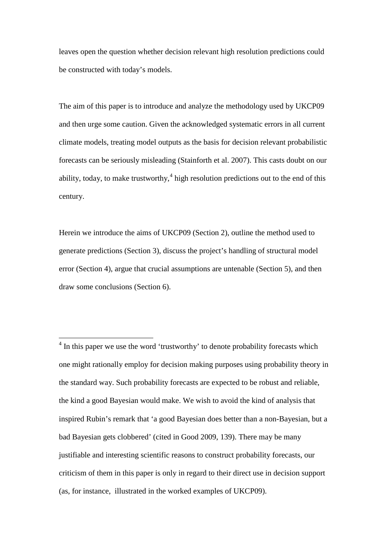leaves open the question whether decision relevant high resolution predictions could be constructed with today's models.

The aim of this paper is to introduce and analyze the methodology used by UKCP09 and then urge some caution. Given the acknowledged systematic errors in all current climate models, treating model outputs as the basis for decision relevant probabilistic forecasts can be seriously misleading [\(Stainforth et al. 2007\)](#page-23-5). This casts doubt on our ability, today, to make trustworthy, $4$  high resolution predictions out to the end of this century.

Herein we introduce the aims of UKCP09 (Section 2), outline the method used to generate predictions (Section 3), discuss the project's handling of structural model error (Section 4), argue that crucial assumptions are untenable (Section 5), and then draw some conclusions (Section 6).

<span id="page-5-0"></span><sup>&</sup>lt;sup>4</sup> In this paper we use the word 'trustworthy' to denote probability forecasts which one might rationally employ for decision making purposes using probability theory in the standard way. Such probability forecasts are expected to be robust and reliable, the kind a good Bayesian would make. We wish to avoid the kind of analysis that inspired Rubin's remark that 'a good Bayesian does better than a non-Bayesian, but a bad Bayesian gets clobbered' [\(cited in Good 2009, 139\)](#page-22-4). There may be many justifiable and interesting scientific reasons to construct probability forecasts, our criticism of them in this paper is only in regard to their direct use in decision support (as, for instance, illustrated in the worked examples of UKCP09).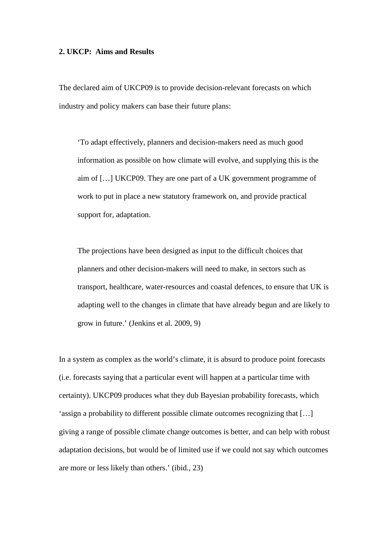#### **2. UKCP: Aims and Results**

The declared aim of UKCP09 is to provide decision-relevant forecasts on which industry and policy makers can base their future plans:

'To adapt effectively, planners and decision-makers need as much good information as possible on how climate will evolve, and supplying this is the aim of […] UKCP09. They are one part of a UK government programme of work to put in place a new statutory framework on, and provide practical support for, adaptation.

The projections have been designed as input to the difficult choices that planners and other decision-makers will need to make, in sectors such as transport, healthcare, water-resources and coastal defences, to ensure that UK is adapting well to the changes in climate that have already begun and are likely to grow in future.' [\(Jenkins et al. 2009, 9\)](#page-22-2)

In a system as complex as the world's climate, it is absurd to produce point forecasts (i.e. forecasts saying that a particular event will happen at a particular time with certainty). UKCP09 produces what they dub Bayesian probability forecasts, which 'assign a probability to different possible climate outcomes recognizing that […] giving a range of possible climate change outcomes is better, and can help with robust adaptation decisions, but would be of limited use if we could not say which outcomes are more or less likely than others.' (ibid., 23)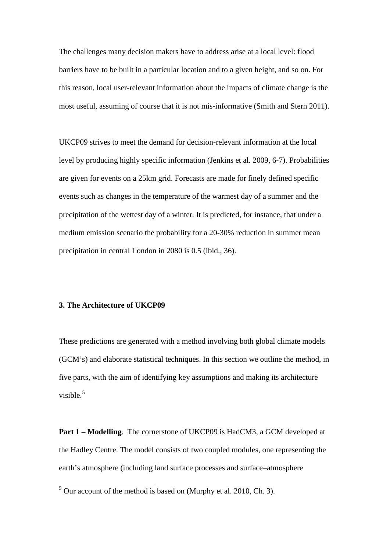The challenges many decision makers have to address arise at a local level: flood barriers have to be built in a particular location and to a given height, and so on. For this reason, local user-relevant information about the impacts of climate change is the most useful, assuming of course that it is not mis-informative [\(Smith and Stern 2011\)](#page-23-1).

UKCP09 strives to meet the demand for decision-relevant information at the local level by producing highly specific information [\(Jenkins et al](#page-22-2)*.* 2009, 6-7). Probabilities are given for events on a 25km grid. Forecasts are made for finely defined specific events such as changes in the temperature of the warmest day of a summer and the precipitation of the wettest day of a winter. It is predicted, for instance, that under a medium emission scenario the probability for a 20-30% reduction in summer mean precipitation in central London in 2080 is 0.5 (ibid., 36).

#### **3. The Architecture of UKCP09**

These predictions are generated with a method involving both global climate models (GCM's) and elaborate statistical techniques. In this section we outline the method, in five parts, with the aim of identifying key assumptions and making its architecture visible. $5$ 

**Part 1 – Modelling**. The cornerstone of UKCP09 is HadCM3, a GCM developed at the Hadley Centre. The model consists of two coupled modules, one representing the earth's atmosphere (including land surface processes and surface–atmosphere

<span id="page-7-0"></span> $<sup>5</sup>$  Our account of the method is based on [\(Murphy et al. 2010, Ch. 3\)](#page-22-3).</sup>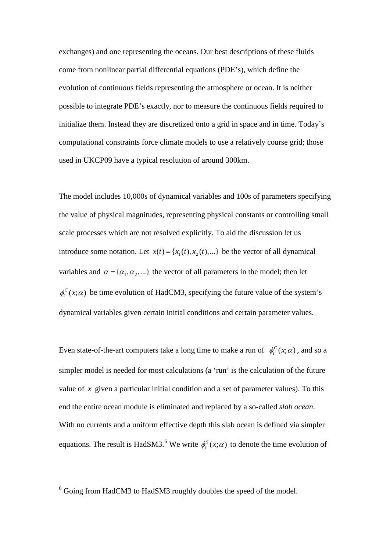exchanges) and one representing the oceans. Our best descriptions of these fluids come from nonlinear partial differential equations (PDE's), which define the evolution of continuous fields representing the atmosphere or ocean. It is neither possible to integrate PDE's exactly, nor to measure the continuous fields required to initialize them. Instead they are discretized onto a grid in space and in time. Today's computational constraints force climate models to use a relatively course grid; those used in UKCP09 have a typical resolution of around 300km.

The model includes 10,000s of dynamical variables and 100s of parameters specifying the value of physical magnitudes, representing physical constants or controlling small scale processes which are not resolved explicitly. To aid the discussion let us introduce some notation. Let  $x(t) = \{ x_1(t), x_2(t), \dots \}$  be the vector of all dynamical variables and  $\alpha = \{\alpha_1, \alpha_2, ...\}$  the vector of all parameters in the model; then let  $\phi_t^C(x;\alpha)$  be time evolution of HadCM3, specifying the future value of the system's dynamical variables given certain initial conditions and certain parameter values.

<span id="page-8-0"></span>Even state-of-the-art computers take a long time to make a run of  $\phi_t^C(x;\alpha)$ , and so a simpler model is needed for most calculations (a 'run' is the calculation of the future value of *x* given a particular initial condition and a set of parameter values). To this end the entire ocean module is eliminated and replaced by a so-called *slab ocean*. With no currents and a uniform effective depth this slab ocean is defined via simpler equations. The result is HadSM3.<sup>[6](#page-7-0)</sup> We write  $\phi_t^S(x;\alpha)$  to denote the time evolution of

 $\sqrt[6]{\text{Going from HadCM3 to HadSM3 roughly doubles the speed of the model.}}$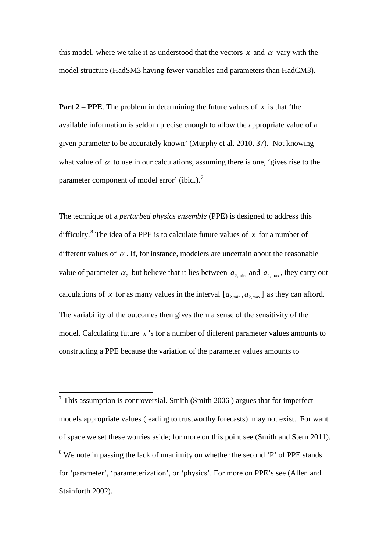this model, where we take it as understood that the vectors  $x$  and  $\alpha$  vary with the model structure (HadSM3 having fewer variables and parameters than HadCM3).

**Part 2 – PPE**. The problem in determining the future values of *x* is that 'the available information is seldom precise enough to allow the appropriate value of a given parameter to be accurately known' [\(Murphy et al. 2010, 37\)](#page-22-3). Not knowing what value of  $\alpha$  to use in our calculations, assuming there is one, 'gives rise to the parameter component of model error' (ibid.).<sup>[7](#page-8-0)</sup>

The technique of a *perturbed physics ensemble* (PPE) is designed to address this difficulty.<sup>[8](#page-9-0)</sup> The idea of a PPE is to calculate future values of  $x$  for a number of different values of  $\alpha$ . If, for instance, modelers are uncertain about the reasonable value of parameter  $\alpha_2$  but believe that it lies between  $a_{2,\text{min}}$  and  $a_{2,\text{max}}$ , they carry out calculations of x for as many values in the interval  $[a_{2,min}, a_{2,max}]$  as they can afford. The variability of the outcomes then gives them a sense of the sensitivity of the model. Calculating future *x* 's for a number of different parameter values amounts to constructing a PPE because the variation of the parameter values amounts to

<span id="page-9-1"></span><span id="page-9-0"></span> $\frac{1}{7}$ This assumption is controversial. Smith (Smith 2006) argues that for imperfect models appropriate values (leading to trustworthy forecasts) may not exist. For want of space we set these worries aside; for more on this point see [\(Smith and Stern 2011\)](#page-23-1). <sup>8</sup> We note in passing the lack of unanimity on whether the second 'P' of PPE stands for 'parameter', 'parameterization', or 'physics'. For more on PPE's see [\(Allen and](#page-21-0)  [Stainforth 2002\)](#page-21-0).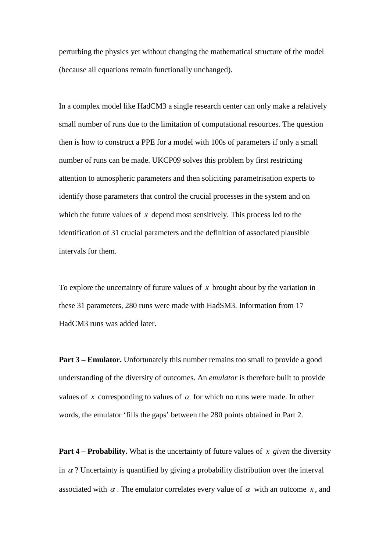perturbing the physics yet without changing the mathematical structure of the model (because all equations remain functionally unchanged).

In a complex model like HadCM3 a single research center can only make a relatively small number of runs due to the limitation of computational resources. The question then is how to construct a PPE for a model with 100s of parameters if only a small number of runs can be made. UKCP09 solves this problem by first restricting attention to atmospheric parameters and then soliciting parametrisation experts to identify those parameters that control the crucial processes in the system and on which the future values of *x* depend most sensitively. This process led to the identification of 31 crucial parameters and the definition of associated plausible intervals for them.

To explore the uncertainty of future values of *x* brought about by the variation in these 31 parameters, 280 runs were made with HadSM3. Information from 17 HadCM3 runs was added later.

**Part 3 – Emulator.** Unfortunately this number remains too small to provide a good understanding of the diversity of outcomes. An *emulator* is therefore built to provide values of x corresponding to values of  $\alpha$  for which no runs were made. In other words, the emulator 'fills the gaps' between the 280 points obtained in Part 2.

**Part 4 – Probability.** What is the uncertainty of future values of *x given* the diversity in  $\alpha$ ? Uncertainty is quantified by giving a probability distribution over the interval associated with  $\alpha$ . The emulator correlates every value of  $\alpha$  with an outcome *x*, and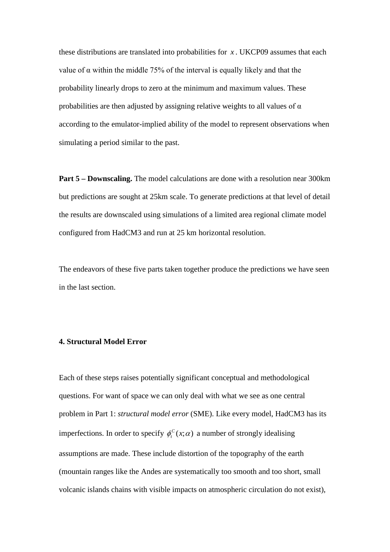these distributions are translated into probabilities for *x* . UKCP09 assumes that each value of α within the middle 75% of the interval is equally likely and that the probability linearly drops to zero at the minimum and maximum values. These probabilities are then adjusted by assigning relative weights to all values of  $\alpha$ according to the emulator-implied ability of the model to represent observations when simulating a period similar to the past.

**Part 5 – Downscaling.** The model calculations are done with a resolution near 300km but predictions are sought at 25km scale. To generate predictions at that level of detail the results are downscaled using simulations of a limited area regional climate model configured from HadCM3 and run at 25 km horizontal resolution.

The endeavors of these five parts taken together produce the predictions we have seen in the last section.

#### **4. Structural Model Error**

Each of these steps raises potentially significant conceptual and methodological questions. For want of space we can only deal with what we see as one central problem in Part 1: *structural model error* (SME). Like every model, HadCM3 has its imperfections. In order to specify  $\phi_t^C(x; \alpha)$  a number of strongly idealising assumptions are made. These include distortion of the topography of the earth (mountain ranges like the Andes are systematically too smooth and too short, small volcanic islands chains with visible impacts on atmospheric circulation do not exist),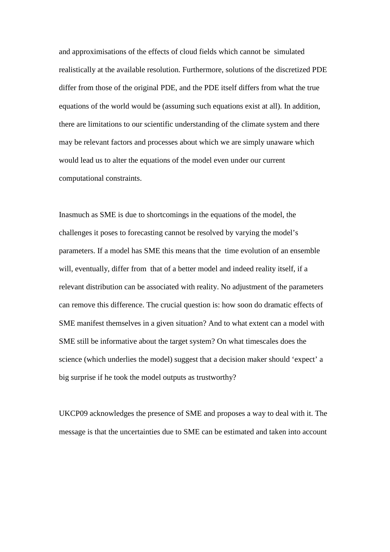and approximisations of the effects of cloud fields which cannot be simulated realistically at the available resolution. Furthermore, solutions of the discretized PDE differ from those of the original PDE, and the PDE itself differs from what the true equations of the world would be (assuming such equations exist at all). In addition, there are limitations to our scientific understanding of the climate system and there may be relevant factors and processes about which we are simply unaware which would lead us to alter the equations of the model even under our current computational constraints.

Inasmuch as SME is due to shortcomings in the equations of the model, the challenges it poses to forecasting cannot be resolved by varying the model's parameters. If a model has SME this means that the time evolution of an ensemble will, eventually, differ from that of a better model and indeed reality itself, if a relevant distribution can be associated with reality. No adjustment of the parameters can remove this difference. The crucial question is: how soon do dramatic effects of SME manifest themselves in a given situation? And to what extent can a model with SME still be informative about the target system? On what timescales does the science (which underlies the model) suggest that a decision maker should 'expect' a big surprise if he took the model outputs as trustworthy?

UKCP09 acknowledges the presence of SME and proposes a way to deal with it. The message is that the uncertainties due to SME can be estimated and taken into account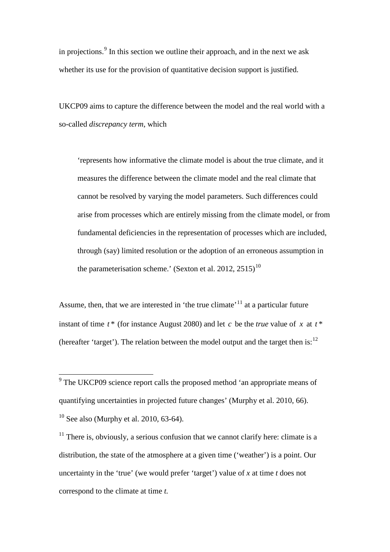in projections. $9 \text{ In this section we outline their approach, and in the next we ask}$  $9 \text{ In this section we outline their approach, and in the next we ask}$ whether its use for the provision of quantitative decision support is justified.

UKCP09 aims to capture the difference between the model and the real world with a so-called *discrepancy term*, which

'represents how informative the climate model is about the true climate, and it measures the difference between the climate model and the real climate that cannot be resolved by varying the model parameters. Such differences could arise from processes which are entirely missing from the climate model, or from fundamental deficiencies in the representation of processes which are included, through (say) limited resolution or the adoption of an erroneous assumption in the parameterisation scheme.' [\(Sexton et al. 2012, 2515\)](#page-23-0)<sup>[10](#page-13-0)</sup>

Assume, then, that we are interested in 'the true climate'<sup>[11](#page-13-1)</sup> at a particular future instant of time  $t^*$  (for instance August 2080) and let *c* be the *true* value of *x* at  $t^*$ (hereafter 'target'). The relation between the model output and the target then is: $<sup>12</sup>$  $<sup>12</sup>$  $<sup>12</sup>$ </sup>

 <sup>9</sup> The UKCP09 science report calls the proposed method 'an appropriate means of quantifying uncertainties in projected future changes' [\(Murphy et al. 2010, 66\)](#page-22-3).  $10$  See also [\(Murphy et al. 2010, 63-64\)](#page-22-3).

<span id="page-13-3"></span><span id="page-13-2"></span><span id="page-13-1"></span><span id="page-13-0"></span> $11$  There is, obviously, a serious confusion that we cannot clarify here: climate is a distribution, the state of the atmosphere at a given time ('weather') is a point. Our uncertainty in the 'true' (we would prefer 'target') value of *x* at time *t* does not correspond to the climate at time *t.*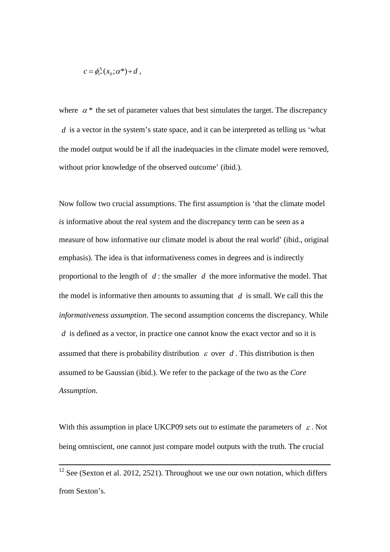$$
c = \phi_{t^*}^S(x_0; \alpha^*) + d \;,
$$

where  $\alpha^*$  the set of parameter values that best simulates the target. The discrepancy *d* is a vector in the system's state space, and it can be interpreted as telling us 'what the model output would be if all the inadequacies in the climate model were removed, without prior knowledge of the observed outcome' (ibid.).

Now follow two crucial assumptions. The first assumption is 'that the climate model *is* informative about the real system and the discrepancy term can be seen as a measure of how informative our climate model is about the real world' (ibid., original emphasis). The idea is that informativeness comes in degrees and is indirectly proportional to the length of *d* : the smaller *d* the more informative the model. That the model is informative then amounts to assuming that *d* is small. We call this the *informativeness assumption*. The second assumption concerns the discrepancy. While *d* is defined as a vector, in practice one cannot know the exact vector and so it is assumed that there is probability distribution  $\varepsilon$  over  $d$ . This distribution is then assumed to be Gaussian (ibid.). We refer to the package of the two as the *Core Assumption*.

With this assumption in place UKCP09 sets out to estimate the parameters of  $\varepsilon$ . Not being omniscient, one cannot just compare model outputs with the truth. The crucial

 $12$  See [\(Sexton et al. 2012, 2521\)](#page-23-0). Throughout we use our own notation, which differs from Sexton's.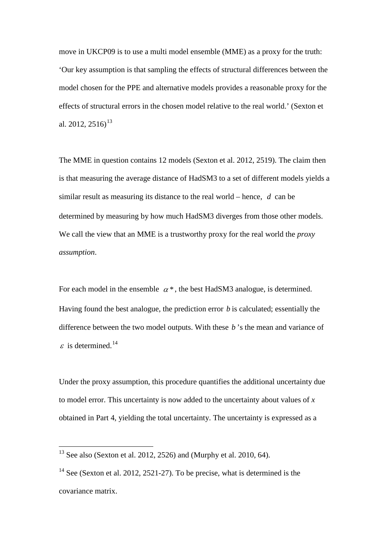move in UKCP09 is to use a multi model ensemble (MME) as a proxy for the truth: 'Our key assumption is that sampling the effects of structural differences between the model chosen for the PPE and alternative models provides a reasonable proxy for the effects of structural errors in the chosen model relative to the real world.' [\(Sexton et](#page-23-0)  [al. 2012, 2516\)](#page-23-0)<sup>[13](#page-13-3)</sup>

The MME in question contains 12 models [\(Sexton et al. 2012, 2519\)](#page-23-0). The claim then is that measuring the average distance of HadSM3 to a set of different models yields a similar result as measuring its distance to the real world – hence, *d* can be determined by measuring by how much HadSM3 diverges from those other models. We call the view that an MME is a trustworthy proxy for the real world the *proxy assumption*.

For each model in the ensemble  $\alpha^*$ , the best HadSM3 analogue, is determined. Having found the best analogue, the prediction error *b* is calculated; essentially the difference between the two model outputs. With these *b* 's the mean and variance of  $\varepsilon$  is determined.<sup>[14](#page-15-0)</sup>

Under the proxy assumption, this procedure quantifies the additional uncertainty due to model error. This uncertainty is now added to the uncertainty about values of *x* obtained in Part 4, yielding the total uncertainty. The uncertainty is expressed as a

<sup>&</sup>lt;sup>13</sup> See also [\(Sexton et al. 2012, 2526\)](#page-23-0) and [\(Murphy et al. 2010, 64\)](#page-22-3).

<span id="page-15-1"></span><span id="page-15-0"></span><sup>&</sup>lt;sup>14</sup> See [\(Sexton et al. 2012, 2521-27\)](#page-23-0). To be precise, what is determined is the covariance matrix.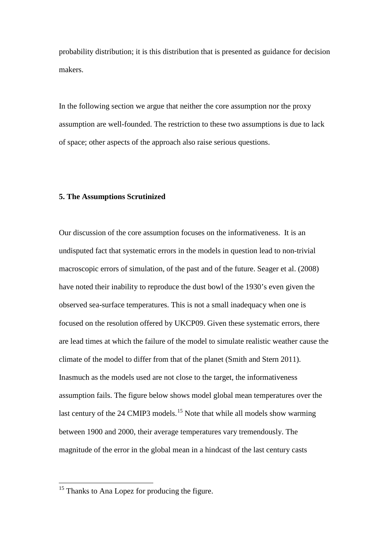probability distribution; it is this distribution that is presented as guidance for decision makers.

In the following section we argue that neither the core assumption nor the proxy assumption are well-founded. The restriction to these two assumptions is due to lack of space; other aspects of the approach also raise serious questions.

#### **5. The Assumptions Scrutinized**

Our discussion of the core assumption focuses on the informativeness. It is an undisputed fact that systematic errors in the models in question lead to non-trivial macroscopic errors of simulation, of the past and of the future. Seager et al. [\(2008\)](#page-23-7) have noted their inability to reproduce the dust bowl of the 1930's even given the observed sea-surface temperatures. This is not a small inadequacy when one is focused on the resolution offered by UKCP09. Given these systematic errors, there are lead times at which the failure of the model to simulate realistic weather cause the climate of the model to differ from that of the planet [\(Smith and Stern 2011\)](#page-23-1). Inasmuch as the models used are not close to the target, the informativeness assumption fails. The figure below shows model global mean temperatures over the last century of the 24 CMIP3 models.<sup>[15](#page-15-1)</sup> Note that while all models show warming between 1900 and 2000, their average temperatures vary tremendously. The magnitude of the error in the global mean in a hindcast of the last century casts

<span id="page-16-0"></span><sup>&</sup>lt;sup>15</sup> Thanks to Ana Lopez for producing the figure.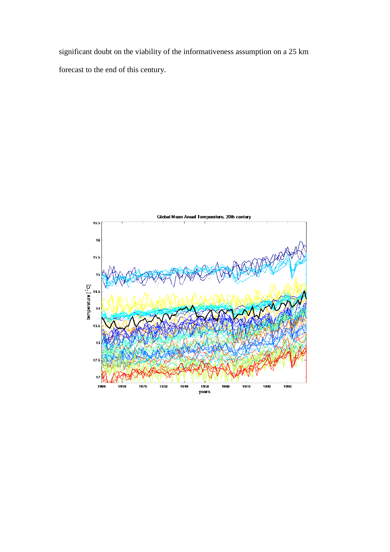significant doubt on the viability of the informativeness assumption on a 25 km forecast to the end of this century.

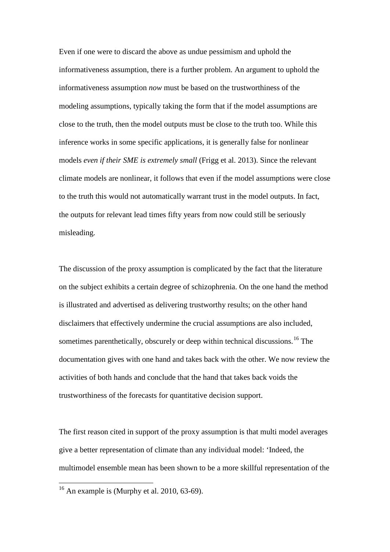Even if one were to discard the above as undue pessimism and uphold the informativeness assumption, there is a further problem. An argument to uphold the informativeness assumption *now* must be based on the trustworthiness of the modeling assumptions, typically taking the form that if the model assumptions are close to the truth, then the model outputs must be close to the truth too. While this inference works in some specific applications, it is generally false for nonlinear models *even if their SME is extremely small* [\(Frigg et al. 2013\)](#page-22-5). Since the relevant climate models are nonlinear, it follows that even if the model assumptions were close to the truth this would not automatically warrant trust in the model outputs. In fact, the outputs for relevant lead times fifty years from now could still be seriously misleading.

The discussion of the proxy assumption is complicated by the fact that the literature on the subject exhibits a certain degree of schizophrenia. On the one hand the method is illustrated and advertised as delivering trustworthy results; on the other hand disclaimers that effectively undermine the crucial assumptions are also included, sometimes parenthetically, obscurely or deep within technical discussions.<sup>[16](#page-16-0)</sup> The documentation gives with one hand and takes back with the other. We now review the activities of both hands and conclude that the hand that takes back voids the trustworthiness of the forecasts for quantitative decision support.

The first reason cited in support of the proxy assumption is that multi model averages give a better representation of climate than any individual model: 'Indeed, the multimodel ensemble mean has been shown to be a more skillful representation of the

 $16$  An example is (Murphy et [al. 2010, 63-69\)](#page-22-3).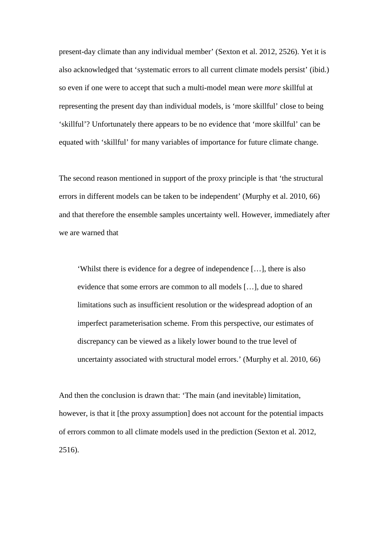present-day climate than any individual member' [\(Sexton et al. 2012, 2526\)](#page-23-0). Yet it is also acknowledged that 'systematic errors to all current climate models persist' (ibid.) so even if one were to accept that such a multi-model mean were *more* skillful at representing the present day than individual models, is 'more skillful' close to being 'skillful'? Unfortunately there appears to be no evidence that 'more skillful' can be equated with 'skillful' for many variables of importance for future climate change.

The second reason mentioned in support of the proxy principle is that 'the structural errors in different models can be taken to be independent' [\(Murphy et al. 2010, 66\)](#page-22-3) and that therefore the ensemble samples uncertainty well. However, immediately after we are warned that

'Whilst there is evidence for a degree of independence […], there is also evidence that some errors are common to all models […], due to shared limitations such as insufficient resolution or the widespread adoption of an imperfect parameterisation scheme. From this perspective, our estimates of discrepancy can be viewed as a likely lower bound to the true level of uncertainty associated with structural model errors.' [\(Murphy et al. 2010, 66\)](#page-22-3)

And then the conclusion is drawn that: 'The main (and inevitable) limitation, however, is that it [the proxy assumption] does not account for the potential impacts of errors common to all climate models used in the prediction [\(Sexton et al. 2012,](#page-23-0)  [2516\)](#page-23-0).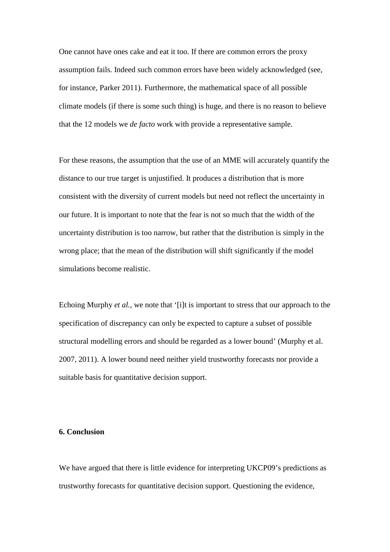One cannot have ones cake and eat it too. If there are common errors the proxy assumption fails. Indeed such common errors have been widely acknowledged [\(see,](#page-22-6)  [for instance, Parker 2011\)](#page-22-6). Furthermore, the mathematical space of all possible climate models (if there is some such thing) is huge, and there is no reason to believe that the 12 models we *de facto* work with provide a representative sample.

For these reasons, the assumption that the use of an MME will accurately quantify the distance to our true target is unjustified. It produces a distribution that is more consistent with the diversity of current models but need not reflect the uncertainty in our future. It is important to note that the fear is not so much that the width of the uncertainty distribution is too narrow, but rather that the distribution is simply in the wrong place; that the mean of the distribution will shift significantly if the model simulations become realistic.

Echoing Murphy *et al.*, we note that '[i]t is important to stress that our approach to the specification of discrepancy can only be expected to capture a subset of possible structural modelling errors and should be regarded as a lower bound' [\(Murphy et al.](#page-22-7)  [2007, 2011\)](#page-22-7). A lower bound need neither yield trustworthy forecasts nor provide a suitable basis for quantitative decision support.

#### **6. Conclusion**

We have argued that there is little evidence for interpreting UKCP09's predictions as trustworthy forecasts for quantitative decision support. Questioning the evidence,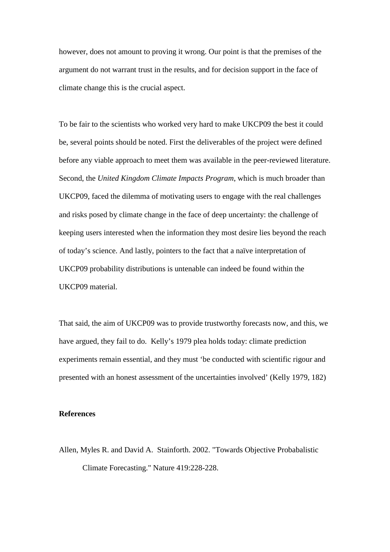however, does not amount to proving it wrong. Our point is that the premises of the argument do not warrant trust in the results, and for decision support in the face of climate change this is the crucial aspect.

To be fair to the scientists who worked very hard to make UKCP09 the best it could be, several points should be noted. First the deliverables of the project were defined before any viable approach to meet them was available in the peer-reviewed literature. Second, the *United Kingdom Climate Impacts Program*, which is much broader than UKCP09, faced the dilemma of motivating users to engage with the real challenges and risks posed by climate change in the face of deep uncertainty: the challenge of keeping users interested when the information they most desire lies beyond the reach of today's science. And lastly, pointers to the fact that a naïve interpretation of UKCP09 probability distributions is untenable can indeed be found within the UKCP09 material.

That said, the aim of UKCP09 was to provide trustworthy forecasts now, and this, we have argued, they fail to do. Kelly's 1979 plea holds today: climate prediction experiments remain essential, and they must 'be conducted with scientific rigour and presented with an honest assessment of the uncertainties involved' [\(Kelly 1979, 182\)](#page-22-8)

#### **References**

<span id="page-21-0"></span>Allen, Myles R. and David A. Stainforth. 2002. "Towards Objective Probabalistic Climate Forecasting." Nature 419:228-228.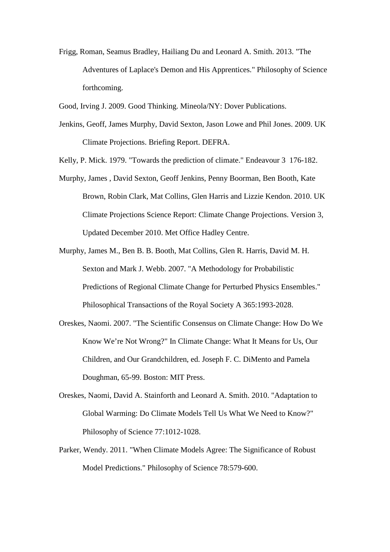<span id="page-22-5"></span>Frigg, Roman, Seamus Bradley, Hailiang Du and Leonard A. Smith. 2013. "The Adventures of Laplace's Demon and His Apprentices." Philosophy of Science forthcoming.

<span id="page-22-4"></span>Good, Irving J. 2009. Good Thinking. Mineola/NY: Dover Publications.

<span id="page-22-2"></span>Jenkins, Geoff, James Murphy, David Sexton, Jason Lowe and Phil Jones. 2009. UK Climate Projections. Briefing Report. DEFRA.

<span id="page-22-8"></span>Kelly, P. Mick. 1979. "Towards the prediction of climate." Endeavour 3 176-182.

- <span id="page-22-3"></span>Murphy, James , David Sexton, Geoff Jenkins, Penny Boorman, Ben Booth, Kate Brown, Robin Clark, Mat Collins, Glen Harris and Lizzie Kendon. 2010. UK Climate Projections Science Report: Climate Change Projections. Version 3, Updated December 2010. Met Office Hadley Centre.
- <span id="page-22-7"></span>Murphy, James M., Ben B. B. Booth, Mat Collins, Glen R. Harris, David M. H. Sexton and Mark J. Webb. 2007. "A Methodology for Probabilistic Predictions of Regional Climate Change for Perturbed Physics Ensembles." Philosophical Transactions of the Royal Society A 365:1993-2028.
- <span id="page-22-1"></span>Oreskes, Naomi. 2007. "The Scientific Consensus on Climate Change: How Do We Know We're Not Wrong?" In Climate Change: What It Means for Us, Our Children, and Our Grandchildren, ed. Joseph F. C. DiMento and Pamela Doughman, 65-99. Boston: MIT Press.
- <span id="page-22-0"></span>Oreskes, Naomi, David A. Stainforth and Leonard A. Smith. 2010. "Adaptation to Global Warming: Do Climate Models Tell Us What We Need to Know?" Philosophy of Science 77:1012-1028.
- <span id="page-22-6"></span>Parker, Wendy. 2011. "When Climate Models Agree: The Significance of Robust Model Predictions." Philosophy of Science 78:579-600.